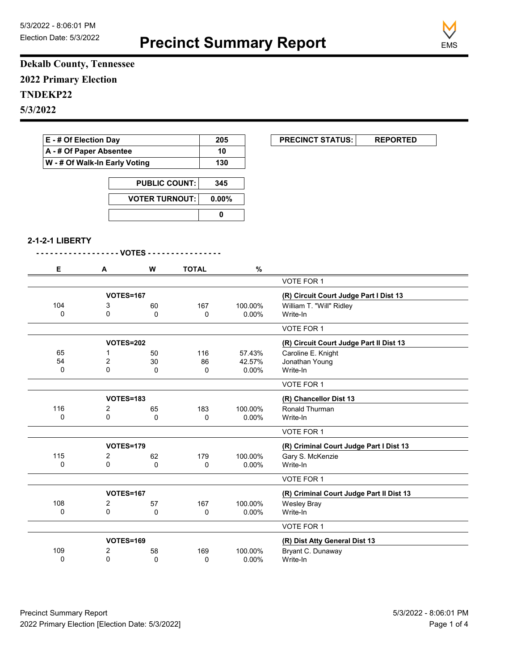

## **Dekalb County, Tennessee 2022 Primary Election TNDEKP22 5/3/2022**

| E - # Of Election Day<br>A - # Of Paper Absentee |                               |                      |              | 205             | <b>PRECINCT STATUS:</b><br><b>REPORTED</b> |  |
|--------------------------------------------------|-------------------------------|----------------------|--------------|-----------------|--------------------------------------------|--|
|                                                  |                               |                      |              | 10              |                                            |  |
|                                                  | W - # Of Walk-In Early Voting |                      |              | 130             |                                            |  |
|                                                  |                               | <b>PUBLIC COUNT:</b> | 345          |                 |                                            |  |
|                                                  | <b>VOTER TURNOUT:</b>         |                      | 0.00%        |                 |                                            |  |
|                                                  |                               |                      |              |                 |                                            |  |
|                                                  |                               |                      | $\pmb{0}$    |                 |                                            |  |
| 2-1-2-1 LIBERTY                                  |                               |                      |              |                 |                                            |  |
|                                                  | - - - - - VOTES - -           |                      |              |                 |                                            |  |
|                                                  |                               |                      |              |                 |                                            |  |
| Е                                                | A                             | W                    | <b>TOTAL</b> | $\%$            |                                            |  |
|                                                  |                               |                      |              |                 | VOTE FOR 1                                 |  |
|                                                  | <b>VOTES=167</b>              |                      |              |                 | (R) Circuit Court Judge Part I Dist 13     |  |
| 104                                              | 3                             | 60                   | 167          | 100.00%         | William T. "Will" Ridley                   |  |
| 0                                                | 0                             | 0                    | 0            | 0.00%           | Write-In                                   |  |
|                                                  |                               |                      |              |                 | VOTE FOR 1                                 |  |
|                                                  | <b>VOTES=202</b>              |                      |              |                 | (R) Circuit Court Judge Part II Dist 13    |  |
| 65                                               | 1                             | 50                   | 116          | 57.43%          | Caroline E. Knight                         |  |
| 54<br>0                                          | 2<br>0                        | 30<br>0              | 86<br>0      | 42.57%<br>0.00% | Jonathan Young<br>Write-In                 |  |
|                                                  |                               |                      |              |                 |                                            |  |
|                                                  |                               |                      |              |                 | VOTE FOR 1                                 |  |
|                                                  | <b>VOTES=183</b>              |                      |              |                 | (R) Chancellor Dist 13                     |  |
| 116                                              | 2                             | 65                   | 183          | 100.00%         | Ronald Thurman                             |  |
| 0                                                | 0                             | 0                    | 0            | 0.00%           | Write-In                                   |  |
|                                                  |                               |                      |              |                 | VOTE FOR 1                                 |  |
|                                                  | <b>VOTES=179</b>              |                      |              |                 | (R) Criminal Court Judge Part I Dist 13    |  |
| 115                                              | 2                             | 62                   | 179          | 100.00%         | Gary S. McKenzie                           |  |
| 0                                                | 0                             | 0                    | 0            | 0.00%           | Write-In                                   |  |
|                                                  |                               |                      |              |                 | <b>VOTE FOR 1</b>                          |  |
|                                                  | <b>VOTES=167</b>              |                      |              |                 | (R) Criminal Court Judge Part II Dist 13   |  |
| 108                                              | $\overline{\mathbf{c}}$       | 57                   | 167          | 100.00%         | <b>Wesley Bray</b>                         |  |
| 0                                                | 0                             | 0                    | $\pmb{0}$    | 0.00%           | Write-In                                   |  |
|                                                  |                               |                      |              |                 | VOTE FOR 1                                 |  |
|                                                  | <b>VOTES=169</b>              |                      |              |                 | (R) Dist Atty General Dist 13              |  |
| 109                                              | 2                             | 58                   | 169          | 100.00%         | Bryant C. Dunaway                          |  |
| 0                                                | 0                             | $\pmb{0}$            | $\pmb{0}$    | $0.00\%$        | Write-In                                   |  |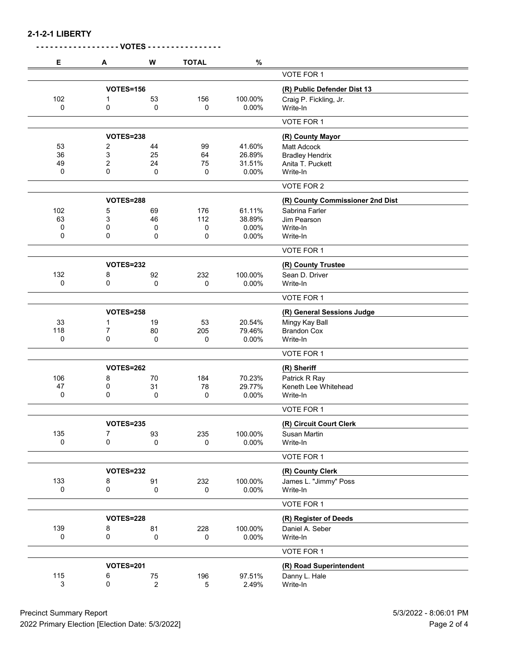| Е   | Α                | W              | <b>TOTAL</b> | $\%$                        |                                              |
|-----|------------------|----------------|--------------|-----------------------------|----------------------------------------------|
|     |                  |                |              |                             | VOTE FOR 1                                   |
|     | <b>VOTES=156</b> |                |              | (R) Public Defender Dist 13 |                                              |
| 102 | 1                | 53             | 156          | 100.00%                     | Craig P. Fickling, Jr.                       |
| 0   | 0                | 0              | 0            | 0.00%                       | Write-In                                     |
|     |                  |                |              |                             | VOTE FOR 1                                   |
|     | VOTES=238        |                |              |                             | (R) County Mayor                             |
| 53  | 2                | 44             | 99           | 41.60%                      |                                              |
| 36  | 3                | 25             | 64           | 26.89%                      | <b>Matt Adcock</b><br><b>Bradley Hendrix</b> |
| 49  | 2                | 24             | 75           | 31.51%                      | Anita T. Puckett                             |
| 0   | 0                | 0              | 0            | 0.00%                       | Write-In                                     |
|     |                  |                |              |                             | VOTE FOR 2                                   |
|     |                  |                |              |                             |                                              |
|     | <b>VOTES=288</b> |                |              |                             | (R) County Commissioner 2nd Dist             |
| 102 | 5                | 69             | 176          | 61.11%                      | Sabrina Farler                               |
| 63  | 3                | 46             | 112          | 38.89%                      | Jim Pearson                                  |
| 0   | 0                | 0              | 0            | 0.00%                       | Write-In                                     |
| 0   | 0                | 0              | 0            | 0.00%                       | Write-In                                     |
|     |                  |                |              |                             | VOTE FOR 1                                   |
|     | <b>VOTES=232</b> |                |              |                             | (R) County Trustee                           |
| 132 | 8                | 92             | 232          | 100.00%                     | Sean D. Driver                               |
| 0   | 0                | 0              | 0            | 0.00%                       | Write-In                                     |
|     |                  |                |              |                             | VOTE FOR 1                                   |
|     | <b>VOTES=258</b> |                |              |                             | (R) General Sessions Judge                   |
| 33  | 1                | 19             | 53           | 20.54%                      | Mingy Kay Ball                               |
| 118 | 7                | 80             | 205          | 79.46%                      | <b>Brandon Cox</b>                           |
| 0   | 0                | 0              | 0            | 0.00%                       | Write-In                                     |
|     |                  |                |              |                             | VOTE FOR 1                                   |
|     | <b>VOTES=262</b> |                |              |                             | (R) Sheriff                                  |
| 106 | 8                | 70             | 184          | 70.23%                      | Patrick R Ray                                |
| 47  | 0                | 31             | 78           | 29.77%                      | Keneth Lee Whitehead                         |
| 0   | 0                | 0              | 0            | 0.00%                       | Write-In                                     |
|     |                  |                |              |                             | VOTE FOR 1                                   |
|     | <b>VOTES=235</b> |                |              |                             | (R) Circuit Court Clerk                      |
| 135 | 7                | 93             | 235          | 100.00%                     | Susan Martin                                 |
| 0   | 0                | 0              | 0            | 0.00%                       | Write-In                                     |
|     |                  |                |              |                             | VOTE FOR 1                                   |
|     | <b>VOTES=232</b> |                |              |                             | (R) County Clerk                             |
| 133 | 8                | 91             | 232          | 100.00%                     | James L. "Jimmy" Poss                        |
| 0   | 0                | 0              | 0            | 0.00%                       | Write-In                                     |
|     |                  |                |              |                             | VOTE FOR 1                                   |
|     |                  |                |              |                             |                                              |
|     | <b>VOTES=228</b> |                |              |                             | (R) Register of Deeds                        |
| 139 | 8                | 81             | 228          | 100.00%                     | Daniel A. Seber                              |
| 0   | $\pmb{0}$        | 0              | 0            | 0.00%                       | Write-In                                     |
|     |                  |                |              |                             | VOTE FOR 1                                   |
|     | <b>VOTES=201</b> |                |              |                             | (R) Road Superintendent                      |
| 115 | 6                | ${\bf 75}$     | 196          | 97.51%                      | Danny L. Hale                                |
| 3   | 0                | $\overline{c}$ | $\mathbf 5$  | 2.49%                       | Write-In                                     |

Precinct Summary Report 5/3/2022 - 8:06:01 PM<br>2022 Primary Election [Election Date: 5/3/2022] 2022 Primary Election [Election Date: 5/3/2022]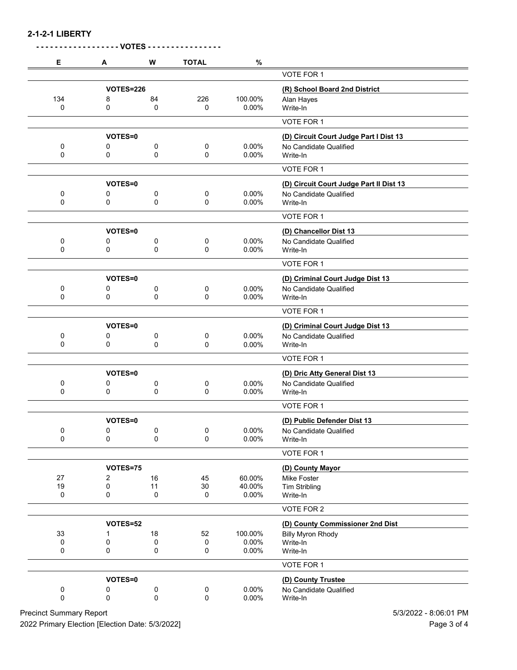**2-1-2-1 LIBERTY**

|     |                  | <b>VOTES -</b> |              |         |                                         |
|-----|------------------|----------------|--------------|---------|-----------------------------------------|
| Е   | A                | W              | <b>TOTAL</b> | $\%$    |                                         |
|     |                  |                |              |         | VOTE FOR 1                              |
|     | <b>VOTES=226</b> |                |              |         | (R) School Board 2nd District           |
| 134 | 8                | 84             | 226          | 100.00% | Alan Hayes                              |
| 0   | 0                | 0              | 0            | 0.00%   | Write-In                                |
|     |                  |                |              |         | VOTE FOR 1                              |
|     | VOTES=0          |                |              |         | (D) Circuit Court Judge Part I Dist 13  |
| 0   | 0                | 0              | 0            | 0.00%   | No Candidate Qualified                  |
| 0   | 0                | 0              | 0            | 0.00%   | Write-In                                |
|     |                  |                |              |         | VOTE FOR 1                              |
|     | VOTES=0          |                |              |         | (D) Circuit Court Judge Part II Dist 13 |
| 0   | 0                | 0              | 0            | 0.00%   | No Candidate Qualified                  |
| 0   | 0                | 0              | 0            | 0.00%   | Write-In                                |
|     |                  |                |              |         | VOTE FOR 1                              |
|     | VOTES=0          |                |              |         | (D) Chancellor Dist 13                  |
| 0   | 0                | 0              | 0            | 0.00%   | No Candidate Qualified                  |
| 0   | 0                | 0              | 0            | 0.00%   | Write-In                                |
|     |                  |                |              |         | VOTE FOR 1                              |
|     | VOTES=0          |                |              |         | (D) Criminal Court Judge Dist 13        |
| 0   | 0                | 0              | 0            | 0.00%   | No Candidate Qualified                  |
| 0   | 0                | 0              | 0            | 0.00%   | Write-In                                |
|     |                  |                |              |         | VOTE FOR 1                              |
|     | <b>VOTES=0</b>   |                |              |         | (D) Criminal Court Judge Dist 13        |
| 0   | 0                | 0              | 0            | 0.00%   | No Candidate Qualified                  |
| 0   | 0                | 0              | 0            | 0.00%   | Write-In                                |
|     |                  |                |              |         | VOTE FOR 1                              |
|     | VOTES=0          |                |              |         | (D) Dric Atty General Dist 13           |
| 0   | 0                | 0              | 0            | 0.00%   | No Candidate Qualified                  |
| 0   | 0                | 0              | 0            | 0.00%   | Write-In                                |
|     |                  |                |              |         | VOTE FOR 1                              |
|     | VOTES=0          |                |              |         | (D) Public Defender Dist 13             |
| 0   | 0                | 0              | 0            | 0.00%   | No Candidate Qualified                  |
| 0   | 0                | 0              | 0            | 0.00%   | Write-In                                |
|     |                  |                |              |         | VOTE FOR 1                              |
|     | VOTES=75         |                |              |         | (D) County Mayor                        |
| 27  | 2                | 16             | 45           | 60.00%  | Mike Foster                             |
| 19  | 0                | 11             | 30           | 40.00%  | <b>Tim Stribling</b>                    |
| 0   | 0                | 0              | 0            | 0.00%   | Write-In                                |
|     |                  |                |              |         | VOTE FOR 2                              |
|     | VOTES=52         |                |              |         | (D) County Commissioner 2nd Dist        |
| 33  | 1                | 18             | 52           | 100.00% | <b>Billy Myron Rhody</b>                |
| 0   | 0                | 0              | 0            | 0.00%   | Write-In                                |
| 0   | 0                | 0              | 0            | 0.00%   | Write-In                                |
|     |                  |                |              |         | VOTE FOR 1                              |
|     | VOTES=0          |                |              |         | (D) County Trustee                      |
| 0   | 0                | 0              | 0            | 0.00%   | No Candidate Qualified                  |
| 0   | 0                | 0              | 0            | 0.00%   | Write-In                                |
|     |                  |                |              |         |                                         |

Precinct Summary Report 613/2022 - 8:06:01 PM 2022 Primary Election [Election Date: 5/3/2022] 2022 Primary Election 3 of 4